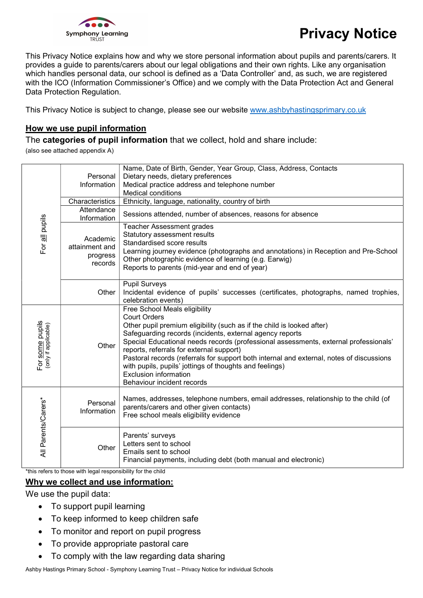

This Privacy Notice explains how and why we store personal information about pupils and parents/carers. It provides a guide to parents/carers about our legal obligations and their own rights. Like any organisation which handles personal data, our school is defined as a 'Data Controller' and, as such, we are registered with the ICO (Information Commissioner's Office) and we comply with the Data Protection Act and General Data Protection Regulation.

This Privacy Notice is subject to change, please see our website www.ashbyhastingsprimary.co.uk

### How we use pupil information

The categories of pupil information that we collect, hold and share include:

(also see attached appendix A)

| For all pupils                          | Personal<br>Information<br>Characteristics<br>Attendance<br>Information<br>Academic<br>attainment and<br>progress | Name, Date of Birth, Gender, Year Group, Class, Address, Contacts<br>Dietary needs, dietary preferences<br>Medical practice address and telephone number<br><b>Medical conditions</b><br>Ethnicity, language, nationality, country of birth<br>Sessions attended, number of absences, reasons for absence<br><b>Teacher Assessment grades</b><br>Statutory assessment results<br>Standardised score results<br>Learning journey evidence (photographs and annotations) in Reception and Pre-School                                                  |  |  |  |
|-----------------------------------------|-------------------------------------------------------------------------------------------------------------------|-----------------------------------------------------------------------------------------------------------------------------------------------------------------------------------------------------------------------------------------------------------------------------------------------------------------------------------------------------------------------------------------------------------------------------------------------------------------------------------------------------------------------------------------------------|--|--|--|
|                                         | records                                                                                                           | Other photographic evidence of learning (e.g. Earwig)<br>Reports to parents (mid-year and end of year)<br><b>Pupil Surveys</b>                                                                                                                                                                                                                                                                                                                                                                                                                      |  |  |  |
|                                         | Other                                                                                                             | Incidental evidence of pupils' successes (certificates, photographs, named trophies,<br>celebration events)                                                                                                                                                                                                                                                                                                                                                                                                                                         |  |  |  |
| For some pupils<br>(only if applicable) | Other                                                                                                             | Free School Meals eligibility<br><b>Court Orders</b><br>Other pupil premium eligibility (such as if the child is looked after)<br>Safeguarding records (incidents, external agency reports<br>Special Educational needs records (professional assessments, external professionals'<br>reports, referrals for external support)<br>Pastoral records (referrals for support both internal and external, notes of discussions<br>with pupils, pupils' jottings of thoughts and feelings)<br><b>Exclusion information</b><br>Behaviour incident records |  |  |  |
| All Parents/Carers*                     | Personal<br>Information                                                                                           | Names, addresses, telephone numbers, email addresses, relationship to the child (of<br>parents/carers and other given contacts)<br>Free school meals eligibility evidence                                                                                                                                                                                                                                                                                                                                                                           |  |  |  |
|                                         | Other                                                                                                             | Parents' surveys<br>Letters sent to school<br>Emails sent to school<br>Financial payments, including debt (both manual and electronic)                                                                                                                                                                                                                                                                                                                                                                                                              |  |  |  |
|                                         | *this refers to those with legal responsibility for the child                                                     |                                                                                                                                                                                                                                                                                                                                                                                                                                                                                                                                                     |  |  |  |

#### Why we collect and use information:

We use the pupil data:

- To support pupil learning
- To keep informed to keep children safe
- To monitor and report on pupil progress
- To provide appropriate pastoral care
- To comply with the law regarding data sharing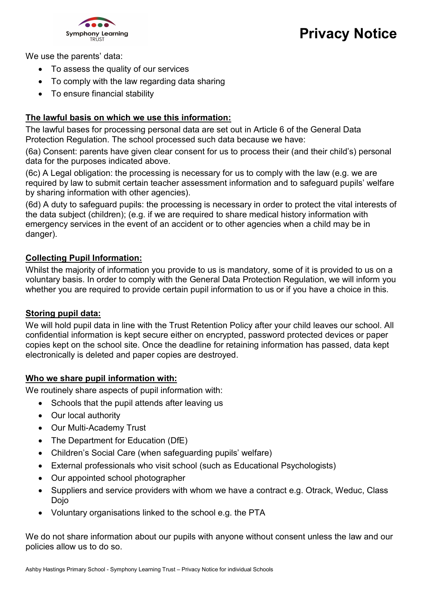

We use the parents' data:

- To assess the quality of our services
- To comply with the law regarding data sharing
- To ensure financial stability

### The lawful basis on which we use this information:

The lawful bases for processing personal data are set out in Article 6 of the General Data Protection Regulation. The school processed such data because we have:

(6a) Consent: parents have given clear consent for us to process their (and their child's) personal data for the purposes indicated above.

(6c) A Legal obligation: the processing is necessary for us to comply with the law (e.g. we are required by law to submit certain teacher assessment information and to safeguard pupils' welfare by sharing information with other agencies).

(6d) A duty to safeguard pupils: the processing is necessary in order to protect the vital interests of the data subject (children); (e.g. if we are required to share medical history information with emergency services in the event of an accident or to other agencies when a child may be in danger).

#### Collecting Pupil Information:

Whilst the majority of information you provide to us is mandatory, some of it is provided to us on a voluntary basis. In order to comply with the General Data Protection Regulation, we will inform you whether you are required to provide certain pupil information to us or if you have a choice in this.

#### Storing pupil data:

We will hold pupil data in line with the Trust Retention Policy after your child leaves our school. All confidential information is kept secure either on encrypted, password protected devices or paper copies kept on the school site. Once the deadline for retaining information has passed, data kept electronically is deleted and paper copies are destroyed.

#### Who we share pupil information with:

We routinely share aspects of pupil information with:

- Schools that the pupil attends after leaving us
- Our local authority
- Our Multi-Academy Trust
- The Department for Education (DfE)
- Children's Social Care (when safeguarding pupils' welfare)
- External professionals who visit school (such as Educational Psychologists)
- Our appointed school photographer
- Suppliers and service providers with whom we have a contract e.g. Otrack, Weduc, Class Dojo
- Voluntary organisations linked to the school e.g. the PTA

We do not share information about our pupils with anyone without consent unless the law and our policies allow us to do so.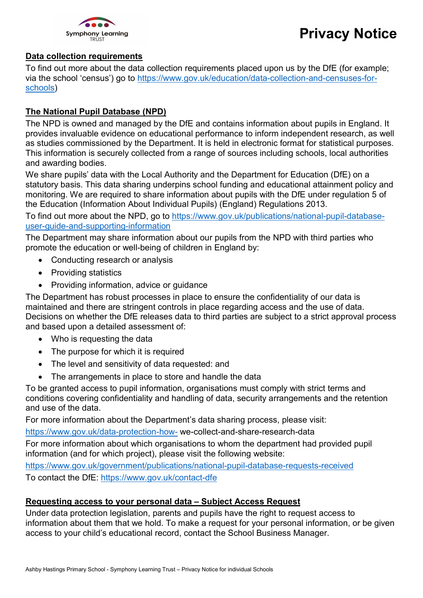

### Data collection requirements

To find out more about the data collection requirements placed upon us by the DfE (for example; via the school 'census') go to https://www.gov.uk/education/data-collection-and-censuses-forschools)

### The National Pupil Database (NPD)

The NPD is owned and managed by the DfE and contains information about pupils in England. It provides invaluable evidence on educational performance to inform independent research, as well as studies commissioned by the Department. It is held in electronic format for statistical purposes. This information is securely collected from a range of sources including schools, local authorities and awarding bodies.

We share pupils' data with the Local Authority and the Department for Education (DfE) on a statutory basis. This data sharing underpins school funding and educational attainment policy and monitoring. We are required to share information about pupils with the DfE under regulation 5 of the Education (Information About Individual Pupils) (England) Regulations 2013.

To find out more about the NPD, go to https://www.gov.uk/publications/national-pupil-databaseuser-guide-and-supporting-information

The Department may share information about our pupils from the NPD with third parties who promote the education or well-being of children in England by:

- Conducting research or analysis
- Providing statistics
- Providing information, advice or quidance

The Department has robust processes in place to ensure the confidentiality of our data is maintained and there are stringent controls in place regarding access and the use of data. Decisions on whether the DfE releases data to third parties are subject to a strict approval process and based upon a detailed assessment of:

- Who is requesting the data
- The purpose for which it is required
- The level and sensitivity of data requested: and
- The arrangements in place to store and handle the data

To be granted access to pupil information, organisations must comply with strict terms and conditions covering confidentiality and handling of data, security arrangements and the retention and use of the data.

For more information about the Department's data sharing process, please visit:

https://www.gov.uk/data-protection-how- we-collect-and-share-research-data

For more information about which organisations to whom the department had provided pupil information (and for which project), please visit the following website:

https://www.gov.uk/government/publications/national-pupil-database-requests-received To contact the DfE: https://www.gov.uk/contact-dfe

## Requesting access to your personal data – Subject Access Request

Under data protection legislation, parents and pupils have the right to request access to information about them that we hold. To make a request for your personal information, or be given access to your child's educational record, contact the School Business Manager.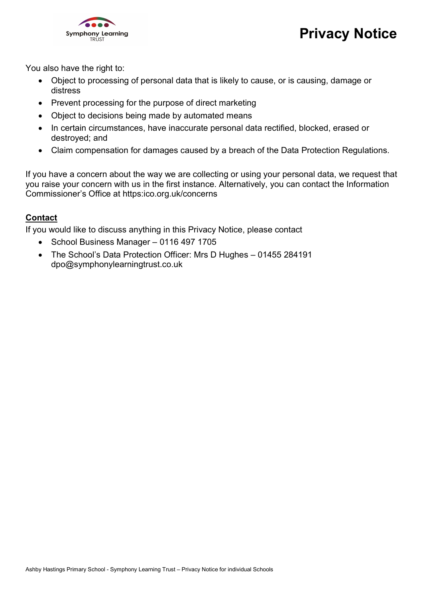

You also have the right to:

- Object to processing of personal data that is likely to cause, or is causing, damage or distress
- Prevent processing for the purpose of direct marketing
- Object to decisions being made by automated means
- In certain circumstances, have inaccurate personal data rectified, blocked, erased or destroyed; and
- Claim compensation for damages caused by a breach of the Data Protection Regulations.

If you have a concern about the way we are collecting or using your personal data, we request that you raise your concern with us in the first instance. Alternatively, you can contact the Information Commissioner's Office at https:ico.org.uk/concerns

## Contact

If you would like to discuss anything in this Privacy Notice, please contact

- School Business Manager 0116 497 1705
- The School's Data Protection Officer: Mrs D Hughes 01455 284191 dpo@symphonylearningtrust.co.uk